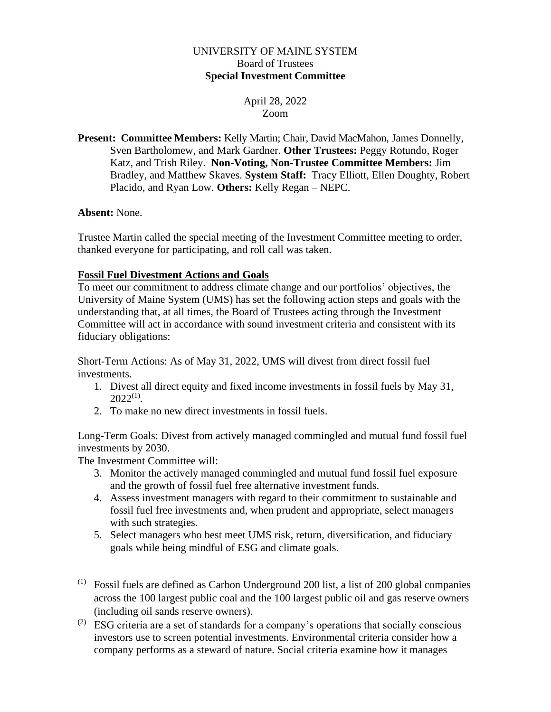### UNIVERSITY OF MAINE SYSTEM Board of Trustees **Special Investment Committee**

# April 28, 2022 Zoom

**Present: Committee Members:** Kelly Martin; Chair, David MacMahon, James Donnelly, Sven Bartholomew, and Mark Gardner. **Other Trustees:** Peggy Rotundo, Roger Katz, and Trish Riley. **Non-Voting, Non-Trustee Committee Members:** Jim Bradley, and Matthew Skaves. **System Staff:** Tracy Elliott, Ellen Doughty, Robert Placido, and Ryan Low. **Others:** Kelly Regan – NEPC.

# **Absent:** None.

Trustee Martin called the special meeting of the Investment Committee meeting to order, thanked everyone for participating, and roll call was taken.

# **Fossil Fuel Divestment Actions and Goals**

To meet our commitment to address climate change and our portfolios' objectives, the University of Maine System (UMS) has set the following action steps and goals with the understanding that, at all times, the Board of Trustees acting through the Investment Committee will act in accordance with sound investment criteria and consistent with its fiduciary obligations:

Short-Term Actions: As of May 31, 2022, UMS will divest from direct fossil fuel investments.

- 1. Divest all direct equity and fixed income investments in fossil fuels by May 31,  $2022^{(1)}$ .
- 2. To make no new direct investments in fossil fuels.

Long-Term Goals: Divest from actively managed commingled and mutual fund fossil fuel investments by 2030.

The Investment Committee will:

- 3. Monitor the actively managed commingled and mutual fund fossil fuel exposure and the growth of fossil fuel free alternative investment funds.
- 4. Assess investment managers with regard to their commitment to sustainable and fossil fuel free investments and, when prudent and appropriate, select managers with such strategies.
- 5. Select managers who best meet UMS risk, return, diversification, and fiduciary goals while being mindful of ESG and climate goals.
- $(1)$  Fossil fuels are defined as Carbon Underground 200 list, a list of 200 global companies across the 100 largest public coal and the 100 largest public oil and gas reserve owners (including oil sands reserve owners).
- $(2)$  ESG criteria are a set of standards for a company's operations that socially conscious investors use to screen potential investments. Environmental criteria consider how a company performs as a steward of nature. Social criteria examine how it manages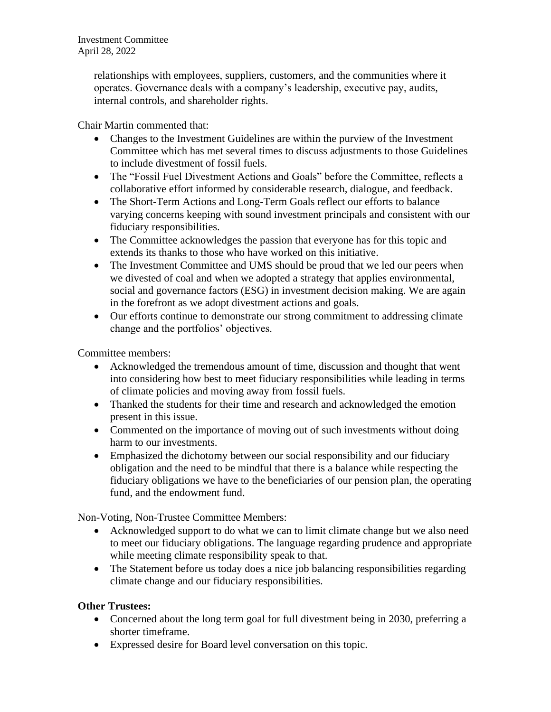Investment Committee April 28, 2022

> relationships with employees, suppliers, customers, and the communities where it operates. Governance deals with a company's leadership, executive pay, [audits,](https://www.investopedia.com/terms/a/audit.asp) [internal controls,](https://www.investopedia.com/terms/i/internalcontrols.asp) and shareholder rights.

Chair Martin commented that:

- Changes to the Investment Guidelines are within the purview of the Investment Committee which has met several times to discuss adjustments to those Guidelines to include divestment of fossil fuels.
- The "Fossil Fuel Divestment Actions and Goals" before the Committee, reflects a collaborative effort informed by considerable research, dialogue, and feedback.
- The Short-Term Actions and Long-Term Goals reflect our efforts to balance varying concerns keeping with sound investment principals and consistent with our fiduciary responsibilities.
- The Committee acknowledges the passion that everyone has for this topic and extends its thanks to those who have worked on this initiative.
- The Investment Committee and UMS should be proud that we led our peers when we divested of coal and when we adopted a strategy that applies environmental, social and governance factors (ESG) in investment decision making. We are again in the forefront as we adopt divestment actions and goals.
- Our efforts continue to demonstrate our strong commitment to addressing climate change and the portfolios' objectives.

Committee members:

- Acknowledged the tremendous amount of time, discussion and thought that went into considering how best to meet fiduciary responsibilities while leading in terms of climate policies and moving away from fossil fuels.
- Thanked the students for their time and research and acknowledged the emotion present in this issue.
- Commented on the importance of moving out of such investments without doing harm to our investments.
- Emphasized the dichotomy between our social responsibility and our fiduciary obligation and the need to be mindful that there is a balance while respecting the fiduciary obligations we have to the beneficiaries of our pension plan, the operating fund, and the endowment fund.

Non-Voting, Non-Trustee Committee Members:

- Acknowledged support to do what we can to limit climate change but we also need to meet our fiduciary obligations. The language regarding prudence and appropriate while meeting climate responsibility speak to that.
- The Statement before us today does a nice job balancing responsibilities regarding climate change and our fiduciary responsibilities.

# **Other Trustees:**

- Concerned about the long term goal for full divestment being in 2030, preferring a shorter timeframe.
- Expressed desire for Board level conversation on this topic.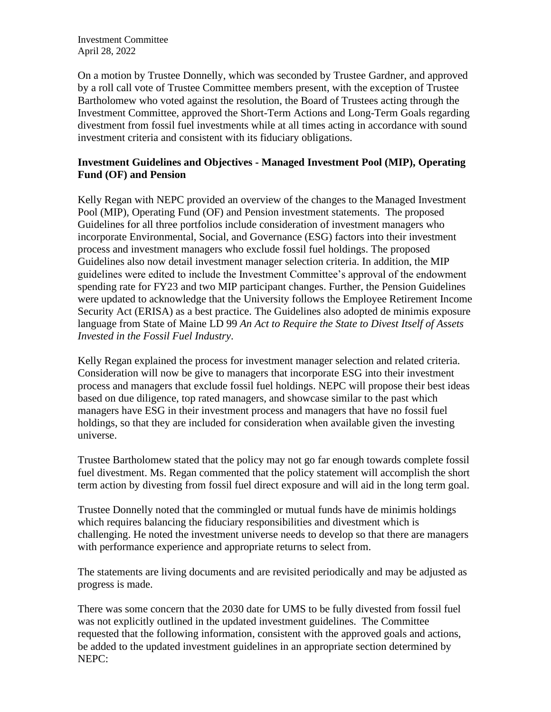Investment Committee April 28, 2022

On a motion by Trustee Donnelly, which was seconded by Trustee Gardner, and approved by a roll call vote of Trustee Committee members present, with the exception of Trustee Bartholomew who voted against the resolution, the Board of Trustees acting through the Investment Committee, approved the Short-Term Actions and Long-Term Goals regarding divestment from fossil fuel investments while at all times acting in accordance with sound investment criteria and consistent with its fiduciary obligations.

### **Investment Guidelines and Objectives - Managed Investment Pool (MIP), Operating Fund (OF) and Pension**

Kelly Regan with NEPC provided an overview of the changes to the Managed Investment Pool (MIP), Operating Fund (OF) and Pension investment statements. The proposed Guidelines for all three portfolios include consideration of investment managers who incorporate Environmental, Social, and Governance (ESG) factors into their investment process and investment managers who exclude fossil fuel holdings. The proposed Guidelines also now detail investment manager selection criteria. In addition, the MIP guidelines were edited to include the Investment Committee's approval of the endowment spending rate for FY23 and two MIP participant changes. Further, the Pension Guidelines were updated to acknowledge that the University follows the Employee Retirement Income Security Act (ERISA) as a best practice. The Guidelines also adopted de minimis exposure language from State of Maine LD 99 *An Act to Require the State to Divest Itself of Assets Invested in the Fossil Fuel Industry*.

Kelly Regan explained the process for investment manager selection and related criteria. Consideration will now be give to managers that incorporate ESG into their investment process and managers that exclude fossil fuel holdings. NEPC will propose their best ideas based on due diligence, top rated managers, and showcase similar to the past which managers have ESG in their investment process and managers that have no fossil fuel holdings, so that they are included for consideration when available given the investing universe.

Trustee Bartholomew stated that the policy may not go far enough towards complete fossil fuel divestment. Ms. Regan commented that the policy statement will accomplish the short term action by divesting from fossil fuel direct exposure and will aid in the long term goal.

Trustee Donnelly noted that the commingled or mutual funds have de minimis holdings which requires balancing the fiduciary responsibilities and divestment which is challenging. He noted the investment universe needs to develop so that there are managers with performance experience and appropriate returns to select from.

The statements are living documents and are revisited periodically and may be adjusted as progress is made.

There was some concern that the 2030 date for UMS to be fully divested from fossil fuel was not explicitly outlined in the updated investment guidelines. The Committee requested that the following information, consistent with the approved goals and actions, be added to the updated investment guidelines in an appropriate section determined by NEPC: